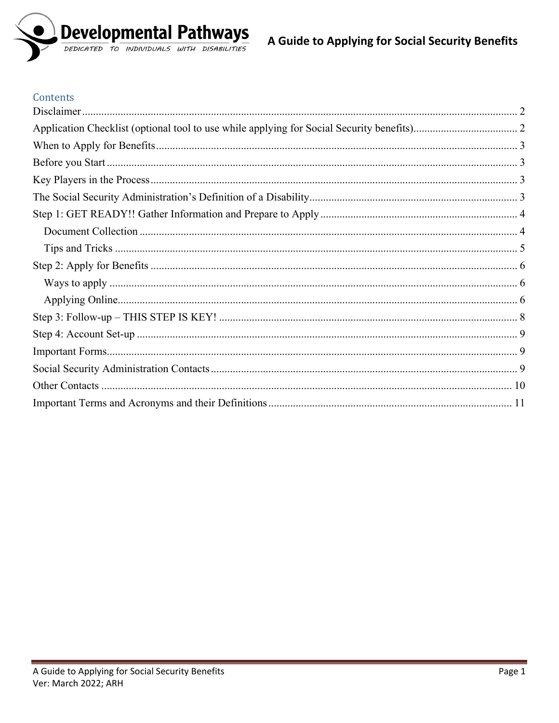

## Contents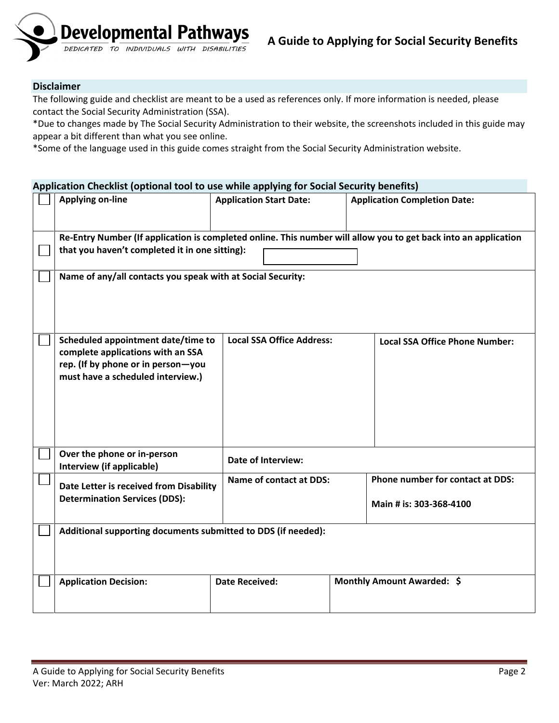

#### <span id="page-1-0"></span>**Disclaimer**

The following guide and checklist are meant to be a used as references only. If more information is needed, please contact the Social Security Administration (SSA).

\*Due to changes made by The Social Security Administration to their website, the screenshots included in this guide may appear a bit different than what you see online.

\*Some of the language used in this guide comes straight from the Social Security Administration website.

## <span id="page-1-1"></span>**Application Checklist (optional tool to use while applying for Social Security benefits) Applying on-line Application Start Date: Application Completion Date: Re-Entry Number (If application is completed online. This number will allow you to get back into an application**   $\vert \ \ \vert$ **that you haven't completed it in one sitting): Name of any/all contacts you speak with at Social Security:**

| Scheduled appointment date/time to<br>complete applications with an SSA<br>rep. (If by phone or in person-you<br>must have a scheduled interview.) | <b>Local SSA Office Address:</b> | <b>Local SSA Office Phone Number:</b> |                                                             |  |  |
|----------------------------------------------------------------------------------------------------------------------------------------------------|----------------------------------|---------------------------------------|-------------------------------------------------------------|--|--|
| Over the phone or in-person<br>Interview (if applicable)                                                                                           | Date of Interview:               |                                       |                                                             |  |  |
| Date Letter is received from Disability<br><b>Determination Services (DDS):</b>                                                                    | <b>Name of contact at DDS:</b>   |                                       | Phone number for contact at DDS:<br>Main # is: 303-368-4100 |  |  |
| Additional supporting documents submitted to DDS (if needed):                                                                                      |                                  |                                       |                                                             |  |  |
| <b>Application Decision:</b>                                                                                                                       | <b>Date Received:</b>            | Monthly Amount Awarded: \$            |                                                             |  |  |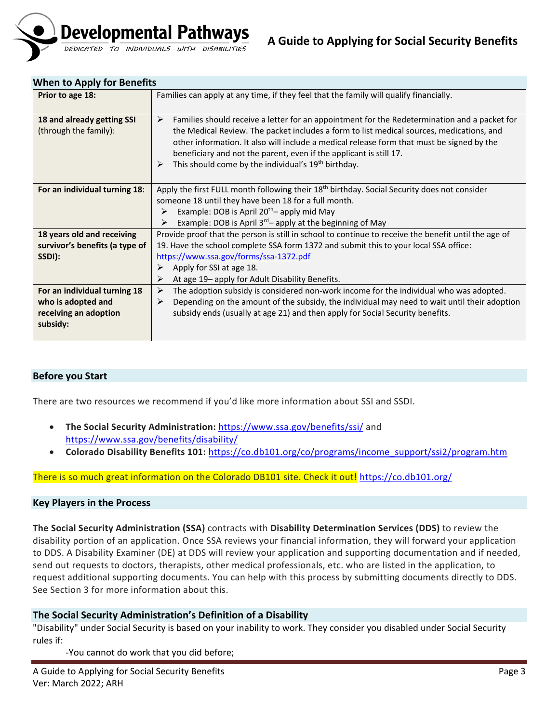

## <span id="page-2-0"></span>**When to Apply for Benefits**

| Prior to age 18:               | Families can apply at any time, if they feel that the family will qualify financially.                  |  |  |
|--------------------------------|---------------------------------------------------------------------------------------------------------|--|--|
|                                |                                                                                                         |  |  |
| 18 and already getting SSI     | Families should receive a letter for an appointment for the Redetermination and a packet for<br>➤       |  |  |
| (through the family):          | the Medical Review. The packet includes a form to list medical sources, medications, and                |  |  |
|                                | other information. It also will include a medical release form that must be signed by the               |  |  |
|                                | beneficiary and not the parent, even if the applicant is still 17.                                      |  |  |
|                                | This should come by the individual's 19 <sup>th</sup> birthday.<br>➤                                    |  |  |
|                                |                                                                                                         |  |  |
| For an individual turning 18:  | Apply the first FULL month following their 18 <sup>th</sup> birthday. Social Security does not consider |  |  |
|                                | someone 18 until they have been 18 for a full month.                                                    |  |  |
|                                | Example: DOB is April 20 <sup>th</sup> -apply mid May<br>➤                                              |  |  |
|                                | Example: DOB is April $3^{rd}$ apply at the beginning of May<br>➤                                       |  |  |
| 18 years old and receiving     | Provide proof that the person is still in school to continue to receive the benefit until the age of    |  |  |
| survivor's benefits (a type of | 19. Have the school complete SSA form 1372 and submit this to your local SSA office:                    |  |  |
| SSDI):                         | https://www.ssa.gov/forms/ssa-1372.pdf                                                                  |  |  |
|                                | Apply for SSI at age 18.<br>⋗                                                                           |  |  |
|                                | At age 19– apply for Adult Disability Benefits.<br>⋗                                                    |  |  |
| For an individual turning 18   | The adoption subsidy is considered non-work income for the individual who was adopted.<br>➤             |  |  |
| who is adopted and             | Depending on the amount of the subsidy, the individual may need to wait until their adoption<br>➤       |  |  |
| receiving an adoption          | subsidy ends (usually at age 21) and then apply for Social Security benefits.                           |  |  |
| subsidy:                       |                                                                                                         |  |  |
|                                |                                                                                                         |  |  |

## <span id="page-2-1"></span>**Before you Start**

There are two resources we recommend if you'd like more information about SSI and SSDI.

- **The Social Security Administration:** <https://www.ssa.gov/benefits/ssi/> and <https://www.ssa.gov/benefits/disability/>
- **Colorado Disability Benefits 101:** [https://co.db101.org/co/programs/income\\_support/ssi2/program.htm](https://co.db101.org/co/programs/income_support/ssi2/program.htm)

## There is so much great information on the Colorado DB101 site. Check it out! <https://co.db101.org/>

#### <span id="page-2-2"></span>**Key Players in the Process**

**The Social Security Administration (SSA)** contracts with **Disability Determination Services (DDS)** to review the disability portion of an application. Once SSA reviews your financial information, they will forward your application to DDS. A Disability Examiner (DE) at DDS will review your application and supporting documentation and if needed, send out requests to doctors, therapists, other medical professionals, etc. who are listed in the application, to request additional supporting documents. You can help with this process by submitting documents directly to DDS. See Section 3 for more information about this.

## <span id="page-2-3"></span>**The Social Security Administration's Definition of a Disability**

"Disability" under Social Security is based on your inability to work. They consider you disabled under Social Security rules if:

-You cannot do work that you did before;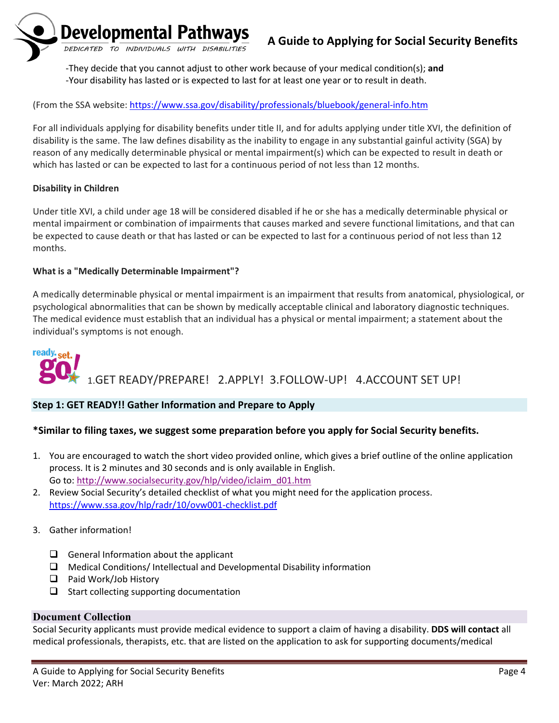

-They decide that you cannot adjust to other work because of your medical condition(s); **and** -Your disability has lasted or is expected to last for at least one year or to result in death.

## (From the SSA website:<https://www.ssa.gov/disability/professionals/bluebook/general-info.htm>

For all individuals applying for disability benefits under title II, and for adults applying under title XVI, the definition of disability is the same. The law defines disability as the inability to engage in any substantial gainful activity (SGA) by reason of any medically determinable physical or mental impairment(s) which can be expected to result in death or which has lasted or can be expected to last for a continuous period of not less than 12 months.

## **Disability in Children**

Under title XVI, a child under age 18 will be considered disabled if he or she has a medically determinable physical or mental impairment or combination of impairments that causes marked and severe functional limitations, and that can be expected to cause death or that has lasted or can be expected to last for a continuous period of not less than 12 months.

## **What is a "Medically Determinable Impairment"?**

A medically determinable physical or mental impairment is an impairment that results from anatomical, physiological, or psychological abnormalities that can be shown by medically acceptable clinical and laboratory diagnostic techniques. The medical evidence must establish that an individual has a physical or mental impairment; a statement about the individual's symptoms is not enough.

# ready.<sub>set.</sub> 1.GET READY/PREPARE! 2.APPLY! 3.FOLLOW-UP! 4.ACCOUNT SET UP!

## <span id="page-3-0"></span>**Step 1: GET READY!! Gather Information and Prepare to Apply**

## **\*Similar to filing taxes, we suggest some preparation before you apply for Social Security benefits.**

- 1. You are encouraged to watch the short video provided online, which gives a brief outline of the online application process. It is 2 minutes and 30 seconds and is only available in English. Go to: [http://www.socialsecurity.gov/hlp/video/iclaim\\_d01.htm](http://www.socialsecurity.gov/hlp/video/iclaim_d01.htm)
- 2. Review Social Security's detailed checklist of what you might need for the application process. <https://www.ssa.gov/hlp/radr/10/ovw001-checklist.pdf>
- 3. Gather information!
	- $\Box$  General Information about the applicant
	- $\Box$  Medical Conditions/ Intellectual and Developmental Disability information
	- □ Paid Work/Job History
	- $\Box$  Start collecting supporting documentation

## <span id="page-3-1"></span>**Document Collection**

Social Security applicants must provide medical evidence to support a claim of having a disability. **DDS will contact** all medical professionals, therapists, etc. that are listed on the application to ask for supporting documents/medical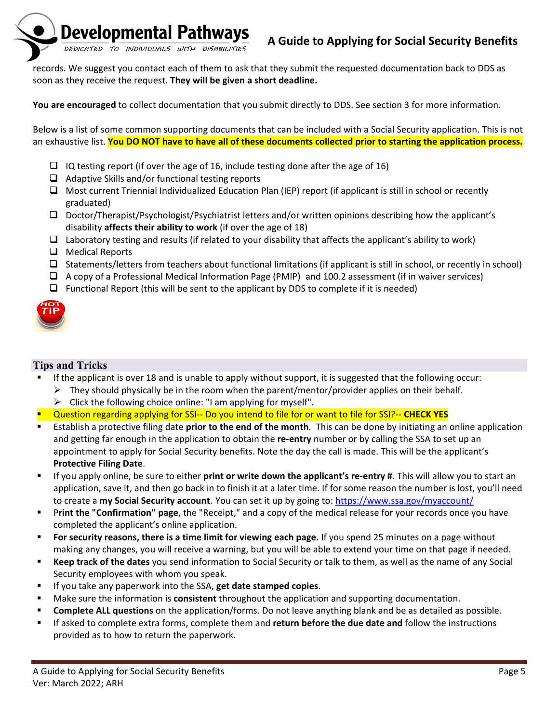

records. We suggest you contact each of them to ask that they submit the requested documentation back to DDS as soon as they receive the request. **They will be given a short deadline.**

**You are encouraged** to collect documentation that you submit directly to DDS. See section 3 for more information.

Below is a list of some common supporting documents that can be included with a Social Security application. This is not an exhaustive list. **You DO NOT have to have all of these documents collected prior to starting the application process.** 

- $\Box$  IQ testing report (if over the age of 16, include testing done after the age of 16)
- $\Box$  Adaptive Skills and/or functional testing reports
- Most current Triennial Individualized Education Plan (IEP) report (if applicant is still in school or recently graduated)
- $\Box$  Doctor/Therapist/Psychologist/Psychiatrist letters and/or written opinions describing how the applicant's disability **affects their ability to work** (if over the age of 18)
- $\Box$  Laboratory testing and results (if related to your disability that affects the applicant's ability to work)
- □ Medical Reports
- $\square$  Statements/letters from teachers about functional limitations (if applicant is still in school, or recently in school)
- $\Box$  A copy of a Professional Medical Information Page (PMIP) and 100.2 assessment (if in waiver services)
- $\Box$  Functional Report (this will be sent to the applicant by DDS to complete if it is needed)



## <span id="page-4-0"></span>**Tips and Tricks**

- If the applicant is over 18 and is unable to apply without support, it is suggested that the following occur:
	- $\triangleright$  They should physically be in the room when the parent/mentor/provider applies on their behalf.
	- $\triangleright$  Click the following choice online: "I am applying for myself".
- Question regarding applying for SSI-- Do you intend to file for or want to file for SSI?-- **CHECK YES**
- Establish a protective filing date **prior to the end of the month**. This can be done by initiating an online application and getting far enough in the application to obtain the **re-entry** number or by calling the SSA to set up an appointment to apply for Social Security benefits. Note the day the call is made. This will be the applicant's **Protective Filing Date**.
- If you apply online, be sure to either **print or write down the applicant's re-entry #**. This will allow you to start an application, save it, and then go back in to finish it at a later time. If for some reason the number is lost, you'll need to create a **my Social Security account**. You can set it up by going to:<https://www.ssa.gov/myaccount/>
- **Print the "Confirmation" page**, the "Receipt," and a copy of the medical release for your records once you have completed the applicant's online application.
- **For security reasons, there is a time limit for viewing each page.** If you spend 25 minutes on a page without making any changes, you will receive a warning, but you will be able to extend your time on that page if needed.
- **Keep track of the dates** you send information to Social Security or talk to them, as well as the name of any Social Security employees with whom you speak.
- If you take any paperwork into the SSA, **get date stamped copies**.
- Make sure the information is **consistent** throughout the application and supporting documentation.
- **Complete ALL questions** on the application/forms. Do not leave anything blank and be as detailed as possible.
- If asked to complete extra forms, complete them and **return before the due date and** follow the instructions provided as to how to return the paperwork.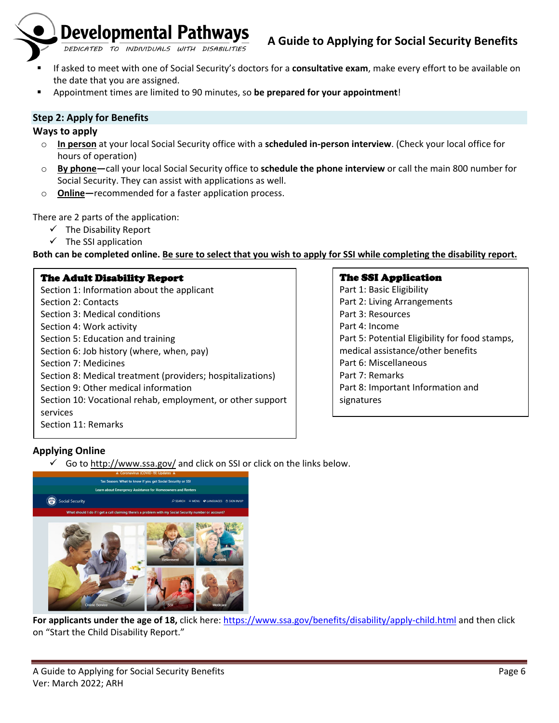

- If asked to meet with one of Social Security's doctors for a **consultative exam**, make every effort to be available on the date that you are assigned.
- Appointment times are limited to 90 minutes, so **be prepared for your appointment**!

## <span id="page-5-0"></span>**Step 2: Apply for Benefits**

## <span id="page-5-1"></span>**Ways to apply**

- o **In person** at your local Social Security office with a **scheduled in-person interview**. (Check your local office for hours of operation)
- o **By phone—**call your local Social Security office to **schedule the phone interview** or call the main 800 number for Social Security. They can assist with applications as well.
- o **Online—**recommended for a faster application process.

There are 2 parts of the application:

- $\checkmark$  The Disability Report
- $\checkmark$  The SSI application

**Both can be completed online. Be sure to select that you wish to apply for SSI while completing the disability report.**

## The Adult Disability Report

Section 1: Information about the applicant Section 2: Contacts Section 3: Medical conditions Section 4: Work activity Section 5: Education and training Section 6: Job history (where, when, pay) Section 7: Medicines Section 8: Medical treatment (providers; hospitalizations) Section 9: Other medical information Section 10: Vocational rehab, employment, or other support services Section 11: Remarks

## The SSI Application

Part 1: Basic Eligibility Part 2: Living Arrangements Part 3: Resources Part 4: Income Part 5: Potential Eligibility for food stamps, medical assistance/other benefits Part 6: Miscellaneous Part 7: Remarks Part 8: Important Information and signatures

## <span id="page-5-2"></span>**Applying Online**

Go to<http://www.ssa.gov/> and click on SSI or click on the links below.



**For applicants under the age of 18,** click here:<https://www.ssa.gov/benefits/disability/apply-child.html> and then click on "Start the Child Disability Report."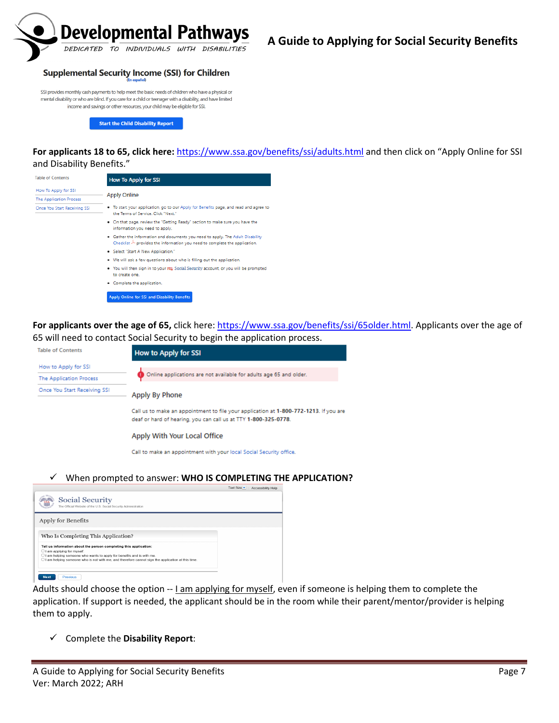

#### **Supplemental Security Income (SSI) for Children**

SSI provides monthly cash payments to help meet the basic needs of children who have a physical or mental disability or who are blind. If you care for a child or teenager with a disability, and have limited income and savings or other resources, your child may be eligible for SSI.

**Start the Child Disability Report** 

#### **For applicants 18 to 65, click here:** <https://www.ssa.gov/benefits/ssi/adults.html> and then click on "Apply Online for SSI and Disability Benefits."

| <b>Table of Contents</b>       | <b>How To Apply for SSI</b>                                                                                                                                  |
|--------------------------------|--------------------------------------------------------------------------------------------------------------------------------------------------------------|
| How To Apply for SSI           |                                                                                                                                                              |
| <b>The Application Process</b> | <b>Apply Online</b>                                                                                                                                          |
| Once You Start Receiving SSI   | . To start your application, go to our Apply for Benefits page, and read and agree to<br>the Terms of Service, Click "Next"                                  |
|                                | . On that page, review the "Getting Ready" section to make sure you have the<br>information you need to apply.                                               |
|                                | . Gather the information and documents you need to apply. The Adult Disability<br>Checklist ~ provides the information you need to complete the application. |
|                                | · Select "Start A New Application."                                                                                                                          |
|                                | . We will ask a few questions about who is filling out the application.                                                                                      |
|                                | • You will then sign in to your my Social Security account, or you will be prompted<br>to create one.                                                        |
|                                | • Complete the application.                                                                                                                                  |

For applicants over the age of 65, click here: [https://www.ssa.gov/benefits/ssi/65older.html.](https://www.ssa.gov/benefits/ssi/65older.html) Applicants over the age of 65 will need to contact Social Security to begin the application process.

| <b>Table of Contents</b>     | <b>How to Apply for SSI</b>                                                                                                                              |  |  |
|------------------------------|----------------------------------------------------------------------------------------------------------------------------------------------------------|--|--|
| How to Apply for SSI         |                                                                                                                                                          |  |  |
| The Application Process      | Online applications are not available for adults age 65 and older.                                                                                       |  |  |
| Once You Start Receiving SSI | Apply By Phone                                                                                                                                           |  |  |
|                              | Call us to make an appointment to file your application at 1-800-772-1213. If you are<br>deaf or hard of hearing, you can call us at TTY 1-800-325-0778. |  |  |
|                              | Apply With Your Local Office                                                                                                                             |  |  |
|                              | Call to make an appointment with your local Social Security office.                                                                                      |  |  |
|                              |                                                                                                                                                          |  |  |

#### When prompted to answer: **WHO IS COMPLETING THE APPLICATION?**



Adults should choose the option -- Lam applying for myself, even if someone is helping them to complete the application. If support is needed, the applicant should be in the room while their parent/mentor/provider is helping them to apply.

Complete the **Disability Report**: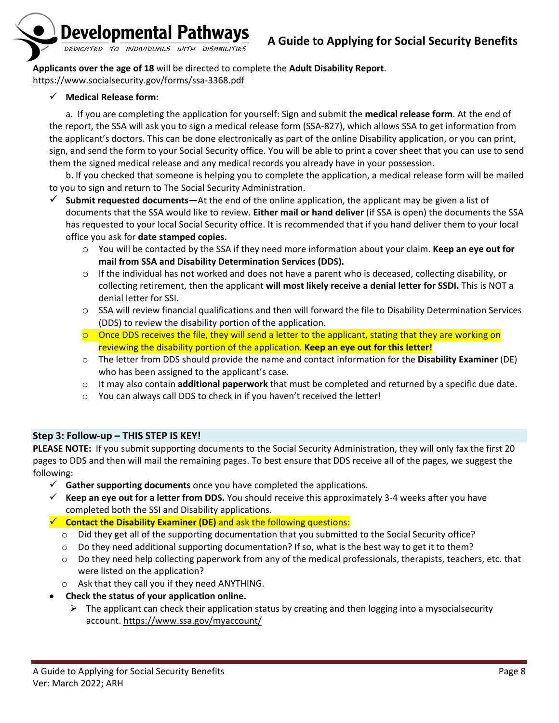

**Applicants over the age of 18** will be directed to complete the **Adult Disability Report**. <https://www.socialsecurity.gov/forms/ssa-3368.pdf>

## **Medical Release form:**

a. If you are completing the application for yourself: Sign and submit the **medical release form**. At the end of the report, the SSA will ask you to sign a medical release form (SSA-827), which allows SSA to get information from the applicant's doctors. This can be done electronically as part of the online Disability application, or you can print, sign, and send the form to your Social Security office. You will be able to print a cover sheet that you can use to send them the signed medical release and any medical records you already have in your possession.

b. If you checked that someone is helping you to complete the application, a medical release form will be mailed to you to sign and return to The Social Security Administration.

- **Submit requested documents—**At the end of the online application, the applicant may be given a list of documents that the SSA would like to review. **Either mail or hand deliver** (if SSA is open) the documents the SSA has requested to your local Social Security office. It is recommended that if you hand deliver them to your local office you ask for **date stamped copies.** 
	- o You will be contacted by the SSA if they need more information about your claim. **Keep an eye out for mail from SSA and Disability Determination Services (DDS).**
	- $\circ$  If the individual has not worked and does not have a parent who is deceased, collecting disability, or collecting retirement, then the applicant **will most likely receive a denial letter for SSDI.** This is NOT a denial letter for SSI.
	- o SSA will review financial qualifications and then will forward the file to Disability Determination Services (DDS) to review the disability portion of the application.
	- $\circ$  Once DDS receives the file, they will send a letter to the applicant, stating that they are working on reviewing the disability portion of the application. **Keep an eye out for this letter!**
	- o The letter from DDS should provide the name and contact information for the **Disability Examiner** (DE) who has been assigned to the applicant's case.
	- o It may also contain **additional paperwork** that must be completed and returned by a specific due date.
	- o You can always call DDS to check in if you haven't received the letter!

## <span id="page-7-0"></span>**Step 3: Follow-up – THIS STEP IS KEY!**

**PLEASE NOTE:** If you submit supporting documents to the Social Security Administration, they will only fax the first 20 pages to DDS and then will mail the remaining pages. To best ensure that DDS receive all of the pages, we suggest the following:

- **Gather supporting documents** once you have completed the applications.
- $\checkmark$  Keep an eye out for a letter from DDS. You should receive this approximately 3-4 weeks after you have completed both the SSI and Disability applications.
- **Contact the Disability Examiner (DE)** and ask the following questions:
	- $\circ$  Did they get all of the supporting documentation that you submitted to the Social Security office?
	- $\circ$  Do they need additional supporting documentation? If so, what is the best way to get it to them?
	- $\circ$  Do they need help collecting paperwork from any of the medical professionals, therapists, teachers, etc. that were listed on the application?
	- o Ask that they call you if they need ANYTHING.
- **Check the status of your application online.**
	- $\triangleright$  The applicant can check their application status by creating and then logging into a mysocialsecurity account.<https://www.ssa.gov/myaccount/>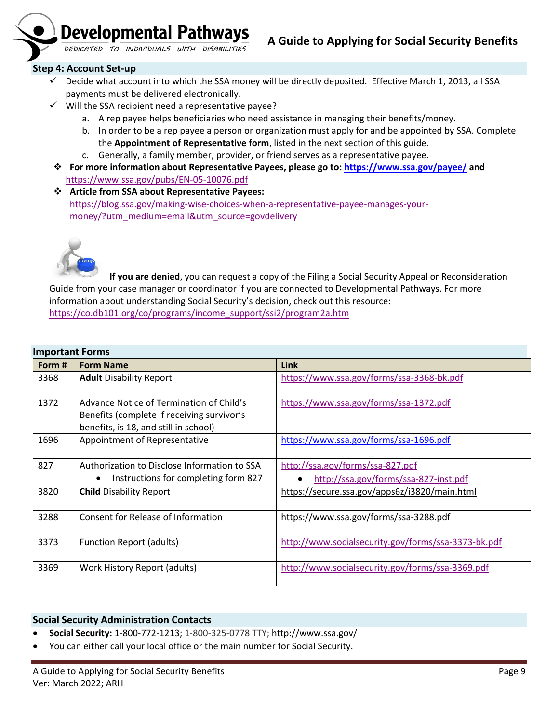

#### <span id="page-8-0"></span>**Step 4: Account Set-up**

- $\checkmark$  Decide what account into which the SSA money will be directly deposited. Effective March 1, 2013, all SSA payments must be delivered electronically.
- $\checkmark$  Will the SSA recipient need a representative payee?
	- a. A rep payee helps beneficiaries who need assistance in managing their benefits/money.
	- b. In order to be a rep payee a person or organization must apply for and be appointed by SSA. Complete the **Appointment of Representative form**, listed in the next section of this guide.
	- c. Generally, a family member, provider, or friend serves as a representative payee.
- **For more information about Representative Payees, please go to:<https://www.ssa.gov/payee/> and**  <https://www.ssa.gov/pubs/EN-05-10076.pdf>
- **Article from SSA about Representative Payees:** [https://blog.ssa.gov/making-wise-choices-when-a-representative-payee-manages-your](https://blog.ssa.gov/making-wise-choices-when-a-representative-payee-manages-your-money/?utm_medium=email&utm_source=govdelivery)[money/?utm\\_medium=email&utm\\_source=govdelivery](https://blog.ssa.gov/making-wise-choices-when-a-representative-payee-manages-your-money/?utm_medium=email&utm_source=govdelivery)



**If you are denied**, you can request a copy of the Filing a Social Security Appeal or Reconsideration Guide from your case manager or coordinator if you are connected to Developmental Pathways. For more information about understanding Social Security's decision, check out this resource: [https://co.db101.org/co/programs/income\\_support/ssi2/program2a.htm](https://co.db101.org/co/programs/income_support/ssi2/program2a.htm)

<span id="page-8-1"></span>

| <b>Important Forms</b> |  |
|------------------------|--|
|------------------------|--|

| Form # | <b>Form Name</b>                                                                                                                | <b>Link</b>                                                               |
|--------|---------------------------------------------------------------------------------------------------------------------------------|---------------------------------------------------------------------------|
| 3368   | <b>Adult Disability Report</b>                                                                                                  | https://www.ssa.gov/forms/ssa-3368-bk.pdf                                 |
| 1372   | Advance Notice of Termination of Child's<br>Benefits (complete if receiving survivor's<br>benefits, is 18, and still in school) | https://www.ssa.gov/forms/ssa-1372.pdf                                    |
| 1696   | Appointment of Representative                                                                                                   | https://www.ssa.gov/forms/ssa-1696.pdf                                    |
| 827    | Authorization to Disclose Information to SSA<br>Instructions for completing form 827                                            | http://ssa.gov/forms/ssa-827.pdf<br>http://ssa.gov/forms/ssa-827-inst.pdf |
| 3820   | <b>Child Disability Report</b>                                                                                                  | https://secure.ssa.gov/apps6z/i3820/main.html                             |
| 3288   | Consent for Release of Information                                                                                              | https://www.ssa.gov/forms/ssa-3288.pdf                                    |
| 3373   | <b>Function Report (adults)</b>                                                                                                 | http://www.socialsecurity.gov/forms/ssa-3373-bk.pdf                       |
| 3369   | Work History Report (adults)                                                                                                    | http://www.socialsecurity.gov/forms/ssa-3369.pdf                          |

#### <span id="page-8-2"></span>**Social Security Administration Contacts**

- **Social Security:** 1-800-772-1213; 1-800-325-0778 TTY[; http://www.ssa.gov/](http://www.ssa.gov/)
- You can either call your local office or the main number for Social Security.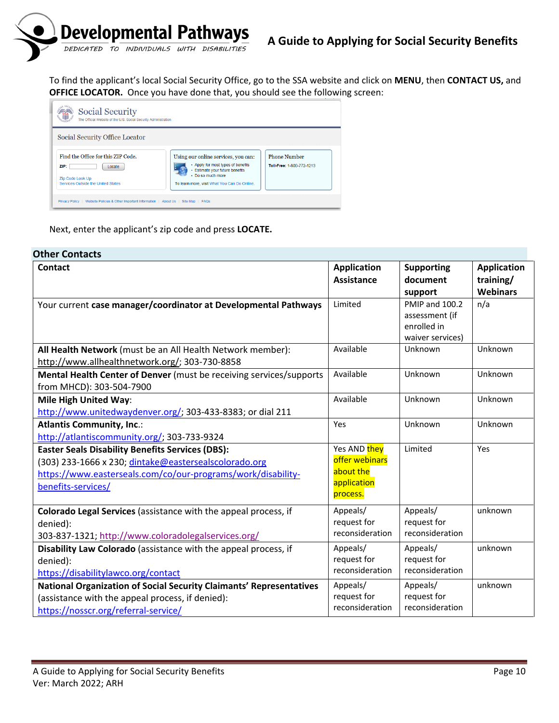

To find the applicant's local Social Security Office, go to the SSA website and click on **MENU**, then **CONTACT US,** and **OFFICE LOCATOR.** Once you have done that, you should see the following screen:



Next, enter the applicant's zip code and press **LOCATE.** 

<span id="page-9-0"></span>

| <b>Other Contacts</b><br><b>Contact</b>                                                                                                                                                                | <b>Application</b>                                                     | <b>Supporting</b>                                                                     | <b>Application</b> |
|--------------------------------------------------------------------------------------------------------------------------------------------------------------------------------------------------------|------------------------------------------------------------------------|---------------------------------------------------------------------------------------|--------------------|
|                                                                                                                                                                                                        | <b>Assistance</b>                                                      | document                                                                              | training/          |
|                                                                                                                                                                                                        |                                                                        |                                                                                       | <b>Webinars</b>    |
| Your current case manager/coordinator at Developmental Pathways                                                                                                                                        | Limited                                                                | support<br><b>PMIP and 100.2</b><br>assessment (if<br>enrolled in<br>waiver services) | n/a                |
| All Health Network (must be an All Health Network member):<br>http://www.allhealthnetwork.org/; 303-730-8858                                                                                           | Available                                                              | Unknown                                                                               | Unknown            |
| Mental Health Center of Denver (must be receiving services/supports<br>from MHCD): 303-504-7900                                                                                                        | Available                                                              | Unknown                                                                               | Unknown            |
| <b>Mile High United Way:</b><br>http://www.unitedwaydenver.org/; 303-433-8383; or dial 211                                                                                                             | Available                                                              | Unknown                                                                               | Unknown            |
| <b>Atlantis Community, Inc.:</b><br>http://atlantiscommunity.org/; 303-733-9324                                                                                                                        | Yes                                                                    | Unknown                                                                               | Unknown            |
| <b>Easter Seals Disability Benefits Services (DBS):</b><br>(303) 233-1666 x 230; dintake@eastersealscolorado.org<br>https://www.easterseals.com/co/our-programs/work/disability-<br>benefits-services/ | Yes AND they<br>offer webinars<br>about the<br>application<br>process. | Limited                                                                               | Yes                |
| Colorado Legal Services (assistance with the appeal process, if<br>denied):<br>303-837-1321; http://www.coloradolegalservices.org/                                                                     | Appeals/<br>request for<br>reconsideration                             | Appeals/<br>request for<br>reconsideration                                            | unknown            |
| Disability Law Colorado (assistance with the appeal process, if<br>denied):<br>https://disabilitylawco.org/contact                                                                                     | Appeals/<br>request for<br>reconsideration                             | Appeals/<br>request for<br>reconsideration                                            | unknown            |
| National Organization of Social Security Claimants' Representatives<br>(assistance with the appeal process, if denied):<br>https://nosscr.org/referral-service/                                        | Appeals/<br>request for<br>reconsideration                             | Appeals/<br>request for<br>reconsideration                                            | unknown            |